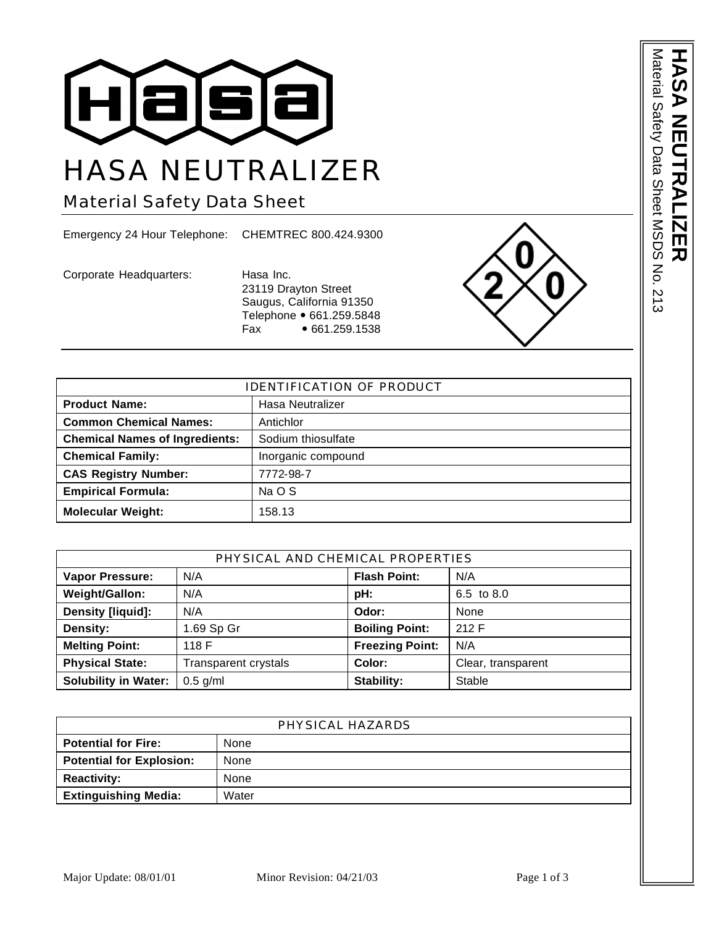

# HASA NEUTRALIZER

Material Safety Data Sheet

Emergency 24 Hour Telephone: CHEMTREC 800.424.9300

Corporate Headquarters: Hasa Inc.

23119 Drayton Street Saugus, California 91350 Telephone • 661.259.5848 Fax • 661.259.1538



| <b>IDENTIFICATION OF PRODUCT</b>      |                    |  |
|---------------------------------------|--------------------|--|
| <b>Product Name:</b>                  | Hasa Neutralizer   |  |
| <b>Common Chemical Names:</b>         | Antichlor          |  |
| <b>Chemical Names of Ingredients:</b> | Sodium thiosulfate |  |
| <b>Chemical Family:</b>               | Inorganic compound |  |
| <b>CAS Registry Number:</b>           | 7772-98-7          |  |
| <b>Empirical Formula:</b>             | Na O S             |  |
| <b>Molecular Weight:</b>              | 158.13             |  |

| PHYSICAL AND CHEMICAL PROPERTIES |                      |                        |                    |
|----------------------------------|----------------------|------------------------|--------------------|
| <b>Vapor Pressure:</b>           | N/A                  | <b>Flash Point:</b>    | N/A                |
| Weight/Gallon:                   | N/A                  | pH:                    | 6.5 to 8.0         |
| Density [liquid]:                | N/A                  | Odor:                  | None               |
| Density:                         | 1.69 Sp Gr           | <b>Boiling Point:</b>  | 212 F              |
| <b>Melting Point:</b>            | 118 F                | <b>Freezing Point:</b> | N/A                |
| <b>Physical State:</b>           | Transparent crystals | Color:                 | Clear, transparent |
| <b>Solubility in Water:</b>      | $0.5$ g/ml           | Stability:             | Stable             |

| PHYSICAL HAZARDS                |       |  |
|---------------------------------|-------|--|
| <b>Potential for Fire:</b>      | None  |  |
| <b>Potential for Explosion:</b> | None  |  |
| <b>Reactivity:</b>              | None  |  |
| <b>Extinguishing Media:</b>     | Water |  |

Material Safety Data Sheet MSDS No. Material Safety Data Sheet MSDS No. 213 **HASA NEUTRALIZER** D D Ш 四刀  $-213$ 

J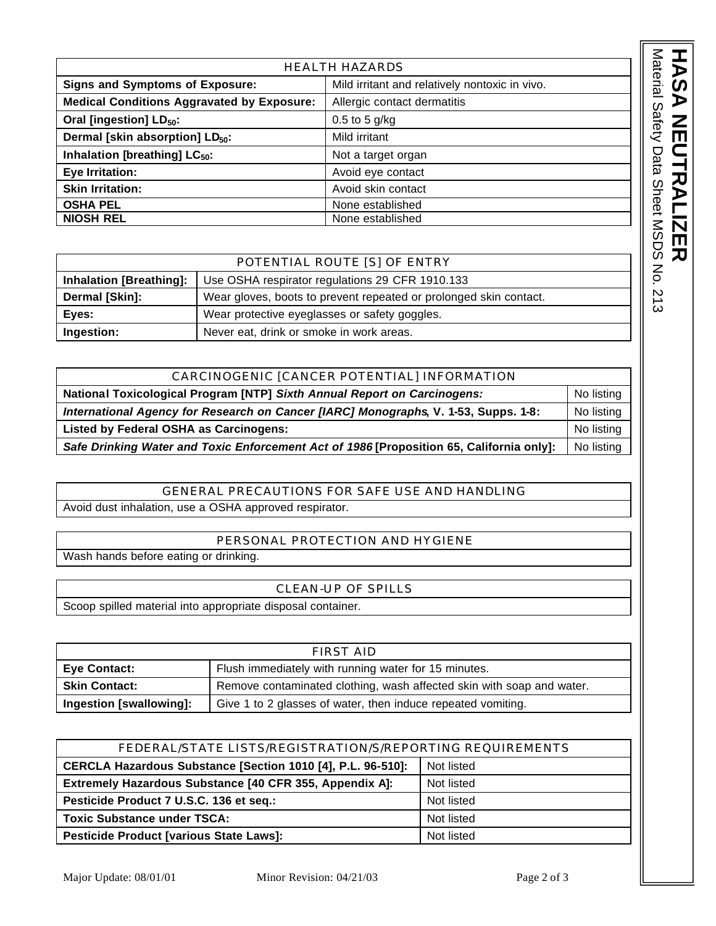| <b>HEALTH HAZARDS</b>                             |                                                |  |
|---------------------------------------------------|------------------------------------------------|--|
| <b>Signs and Symptoms of Exposure:</b>            | Mild irritant and relatively nontoxic in vivo. |  |
| <b>Medical Conditions Aggravated by Exposure:</b> | Allergic contact dermatitis                    |  |
| Oral [ingestion] LD <sub>50</sub> :               | $0.5$ to 5 g/kg                                |  |
| Dermal [skin absorption] LD <sub>50</sub> :       | Mild irritant                                  |  |
| Inhalation [breathing] LC <sub>50</sub> :         | Not a target organ                             |  |
| Eye Irritation:                                   | Avoid eye contact                              |  |
| <b>Skin Irritation:</b>                           | Avoid skin contact                             |  |
| <b>OSHA PEL</b>                                   | None established                               |  |
| <b>NIOSH REL</b>                                  | None established                               |  |

|                                | POTENTIAL ROUTE [S] OF ENTRY                                      |
|--------------------------------|-------------------------------------------------------------------|
| <b>Inhalation [Breathing]:</b> | Use OSHA respirator regulations 29 CFR 1910.133                   |
| Dermal [Skin]:                 | Wear gloves, boots to prevent repeated or prolonged skin contact. |
| Eves:                          | Wear protective eyeglasses or safety goggles.                     |
| Ingestion:                     | Never eat, drink or smoke in work areas.                          |

| CARCINOGENIC [CANCER POTENTIAL] INFORMATION                                              |            |
|------------------------------------------------------------------------------------------|------------|
| National Toxicological Program [NTP] Sixth Annual Report on Carcinogens:                 | No listing |
| International Agency for Research on Cancer [IARC] Monographs, V. 1-53, Supps. 1-8:      |            |
| Listed by Federal OSHA as Carcinogens:                                                   | No listing |
| Safe Drinking Water and Toxic Enforcement Act of 1986 [Proposition 65, California only]: | No listing |

## GENERAL PRECAUTIONS FOR SAFE USE AND HANDLING Avoid dust inhalation, use a OSHA approved respirator.

# PERSONAL PROTECTION AND HYGIENE

Wash hands before eating or drinking.

### CLEAN-UP OF SPILLS

Scoop spilled material into appropriate disposal container.

| FIRST AID               |                                                                       |  |
|-------------------------|-----------------------------------------------------------------------|--|
| Eye Contact:            | Flush immediately with running water for 15 minutes.                  |  |
| <b>Skin Contact:</b>    | Remove contaminated clothing, wash affected skin with soap and water. |  |
| Ingestion [swallowing]: | Give 1 to 2 glasses of water, then induce repeated vomiting.          |  |

| FEDERAL/STATE LISTS/REGISTRATION/S/REPORTING REQUIREMENTS   |            |  |
|-------------------------------------------------------------|------------|--|
| CERCLA Hazardous Substance [Section 1010 [4], P.L. 96-510]: | Not listed |  |
| Extremely Hazardous Substance [40 CFR 355, Appendix A]:     | Not listed |  |
| Pesticide Product 7 U.S.C. 136 et seq.:                     | Not listed |  |
| <b>Toxic Substance under TSCA:</b>                          | Not listed |  |
| <b>Pesticide Product [various State Laws]:</b>              | Not listed |  |

Material Safety Data Sheet MSDS No. 213

Material Safety Data Sheet MSDS No. 213

**HASA NEUTRALIZER**

レ<br>M<br>N

**NER** 

 $\frac{Z}{\Pi}$ 

HA

<u>໌ທ</u>  $\blacktriangleright$